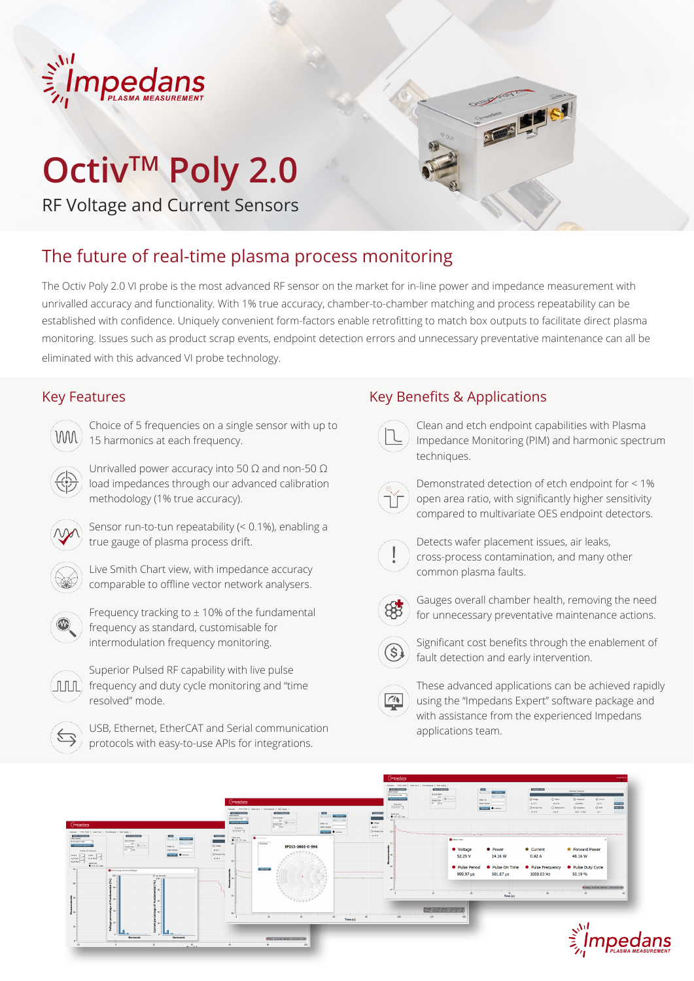

# **Octiv™ Poly 2.0**

RF Voltage and Current Sensors



The Octiv Poly 2.0 VI probe is the most advanced RF sensor on the market for in-line power and impedance measurement with unrivalled accuracy and functionality. With 1% true accuracy, chamber-to-chamber matching and process repeatability can be established with confidence. Uniquely convenient form-factors enable retrofitting to match box outputs to facilitate direct plasma monitoring. Issues such as product scrap events, endpoint detection errors and unnecessary preventative maintenance can all be eliminated with this advanced VI probe technology.

### Key Features

| <b>WW</b> |  |
|-----------|--|
|           |  |
|           |  |

Choice of 5 frequencies on a single sensor with up to 15 harmonics at each frequency.

Unrivalled power accuracy into 50  $\Omega$  and non-50  $\Omega$ load impedances through our advanced calibration methodology (1% true accuracy).



Sensor run-to-tun repeatability (< 0.1%), enabling a true gauge of plasma process drift.



Live Smith Chart view, with impedance accuracy comparable to offline vector network analysers.



Frequency tracking to  $\pm$  10% of the fundamental frequency as standard, customisable for intermodulation frequency monitoring.



Superior Pulsed RF capability with live pulse  $\left(\begin{array}{c|c}\n\text{fill} \\
\end{array}\right)$  frequency and duty cycle monitoring and "time resolved" mode.



USB, Ethernet, EtherCAT and Serial communication protocols with easy-to-use APIs for integrations.

# Key Benefits & Applications

Clean and etch endpoint capabilities with Plasma Impedance Monitoring (PIM) and harmonic spectrum techniques.

Demonstrated detection of etch endpoint for < 1% open area ratio, with significantly higher sensitivity compared to multivariate OES endpoint detectors.



Detects wafer placement issues, air leaks, cross-process contamination, and many other common plasma faults.



 $(\$)$ 

 $\sqrt{4}$ 

Gauges overall chamber health, removing the need for unnecessary preventative maintenance actions.



Significant cost benefits through the enablement of fault detection and early intervention.

These advanced applications can be achieved rapidly using the "Impedans Expert" software package and with assistance from the experienced Impedans applications team.